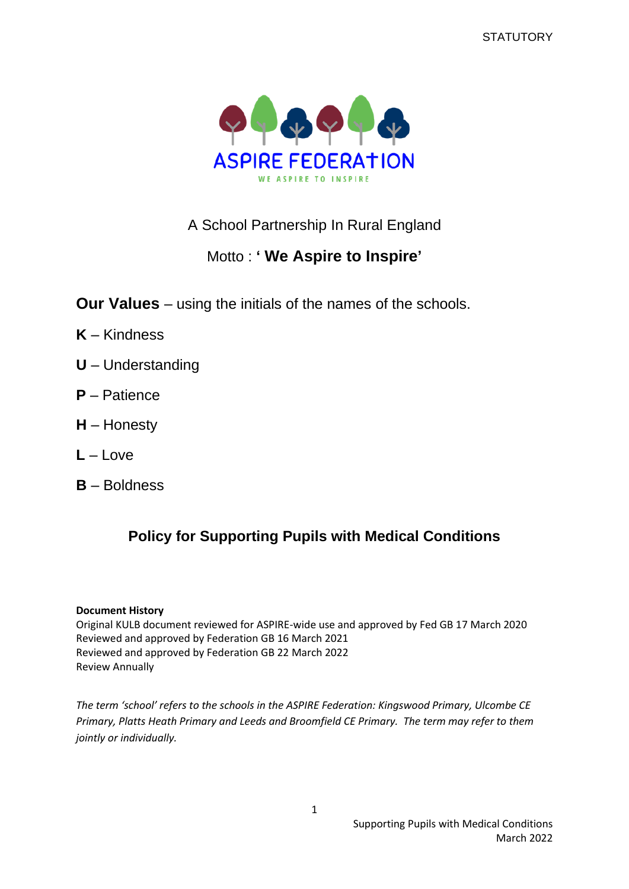**STATUTORY** 



# A School Partnership In Rural England

# Motto : **' We Aspire to Inspire'**

**Our Values** – using the initials of the names of the schools.

- **K** Kindness
- **U** Understanding
- **P** Patience
- **H** Honesty
- **L** Love
- **B** Boldness

# **Policy for Supporting Pupils with Medical Conditions**

#### **Document History**

Original KULB document reviewed for ASPIRE-wide use and approved by Fed GB 17 March 2020 Reviewed and approved by Federation GB 16 March 2021 Reviewed and approved by Federation GB 22 March 2022 Review Annually

*The term 'school' refers to the schools in the ASPIRE Federation: Kingswood Primary, Ulcombe CE Primary, Platts Heath Primary and Leeds and Broomfield CE Primary. The term may refer to them jointly or individually.*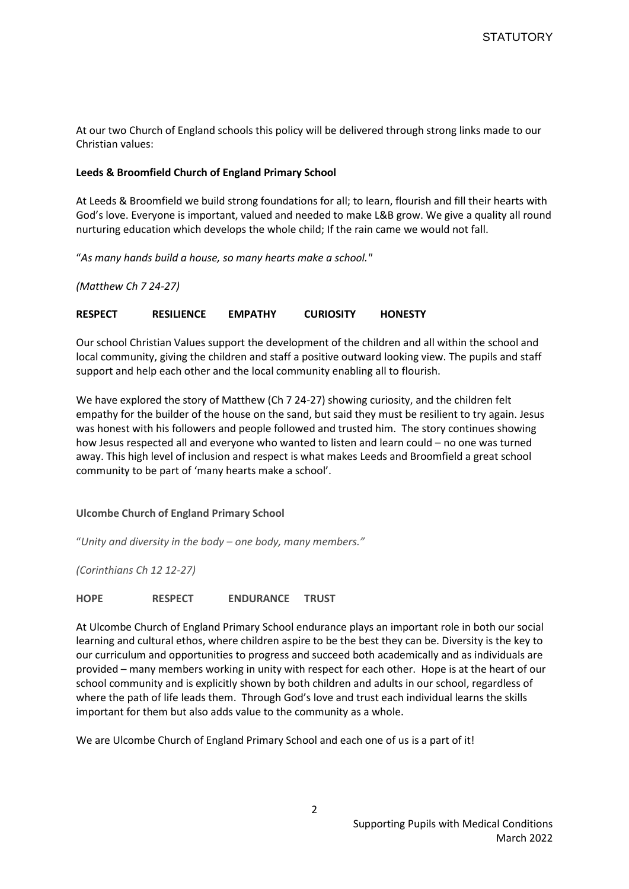At our two Church of England schools this policy will be delivered through strong links made to our Christian values:

#### **Leeds & Broomfield Church of England Primary School**

At Leeds & Broomfield we build strong foundations for all; to learn, flourish and fill their hearts with God's love. Everyone is important, valued and needed to make L&B grow. We give a quality all round nurturing education which develops the whole child; If the rain came we would not fall.

"*As many hands build a house, so many hearts make a school."*

*(Matthew Ch 7 24-27)*

#### **RESPECT RESILIENCE EMPATHY CURIOSITY HONESTY**

Our school Christian Values support the development of the children and all within the school and local community, giving the children and staff a positive outward looking view. The pupils and staff support and help each other and the local community enabling all to flourish.

We have explored the story of Matthew (Ch 7 24-27) showing curiosity, and the children felt empathy for the builder of the house on the sand, but said they must be resilient to try again. Jesus was honest with his followers and people followed and trusted him. The story continues showing how Jesus respected all and everyone who wanted to listen and learn could – no one was turned away. This high level of inclusion and respect is what makes Leeds and Broomfield a great school community to be part of 'many hearts make a school'.

#### **Ulcombe Church of England Primary School**

"*Unity and diversity in the body – one body, many members."*

*(Corinthians Ch 12 12-27)*

**HOPE RESPECT ENDURANCE TRUST**

At Ulcombe Church of England Primary School endurance plays an important role in both our social learning and cultural ethos, where children aspire to be the best they can be. Diversity is the key to our curriculum and opportunities to progress and succeed both academically and as individuals are provided – many members working in unity with respect for each other. Hope is at the heart of our school community and is explicitly shown by both children and adults in our school, regardless of where the path of life leads them. Through God's love and trust each individual learns the skills important for them but also adds value to the community as a whole.

We are Ulcombe Church of England Primary School and each one of us is a part of it!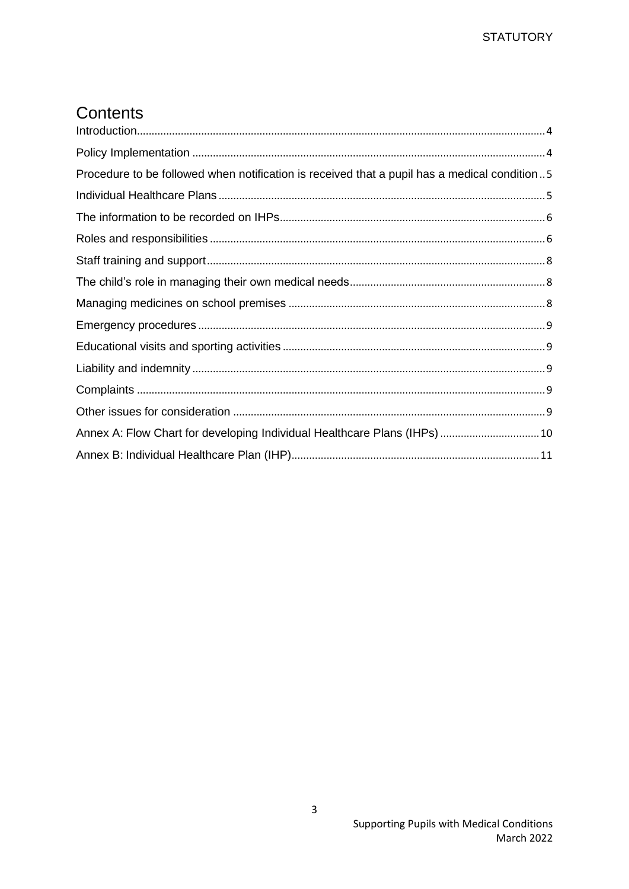# Contents

| Procedure to be followed when notification is received that a pupil has a medical condition5 |  |
|----------------------------------------------------------------------------------------------|--|
|                                                                                              |  |
|                                                                                              |  |
|                                                                                              |  |
|                                                                                              |  |
|                                                                                              |  |
|                                                                                              |  |
|                                                                                              |  |
|                                                                                              |  |
|                                                                                              |  |
|                                                                                              |  |
|                                                                                              |  |
| Annex A: Flow Chart for developing Individual Healthcare Plans (IHPs)  10                    |  |
|                                                                                              |  |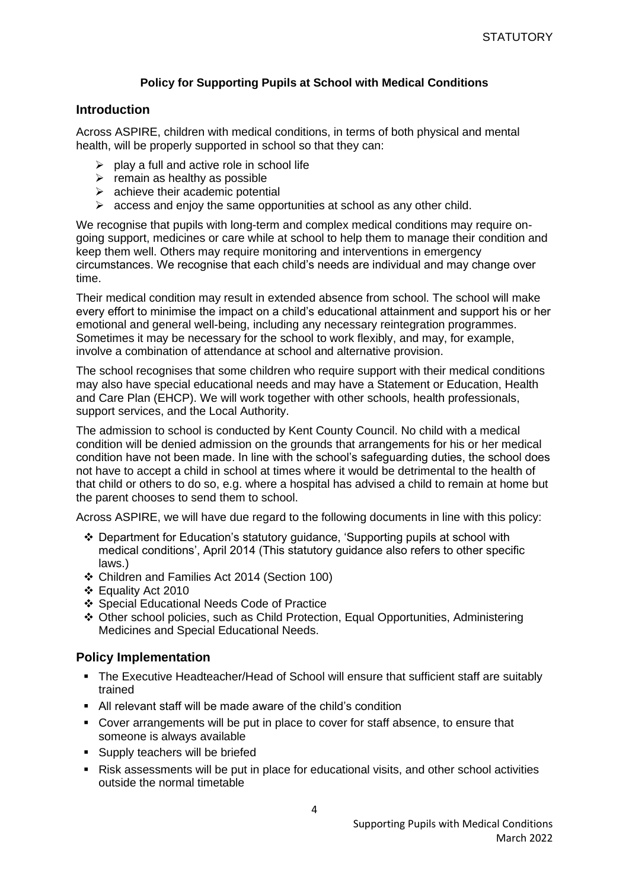### **Policy for Supporting Pupils at School with Medical Conditions**

### <span id="page-3-0"></span>**Introduction**

Across ASPIRE, children with medical conditions, in terms of both physical and mental health, will be properly supported in school so that they can:

- $\triangleright$  play a full and active role in school life
- $\triangleright$  remain as healthy as possible
- $\triangleright$  achieve their academic potential
- $\triangleright$  access and enjoy the same opportunities at school as any other child.

We recognise that pupils with long-term and complex medical conditions may require ongoing support, medicines or care while at school to help them to manage their condition and keep them well. Others may require monitoring and interventions in emergency circumstances. We recognise that each child's needs are individual and may change over time.

Their medical condition may result in extended absence from school. The school will make every effort to minimise the impact on a child's educational attainment and support his or her emotional and general well-being, including any necessary reintegration programmes. Sometimes it may be necessary for the school to work flexibly, and may, for example, involve a combination of attendance at school and alternative provision.

The school recognises that some children who require support with their medical conditions may also have special educational needs and may have a Statement or Education, Health and Care Plan (EHCP). We will work together with other schools, health professionals, support services, and the Local Authority.

The admission to school is conducted by Kent County Council. No child with a medical condition will be denied admission on the grounds that arrangements for his or her medical condition have not been made. In line with the school's safeguarding duties, the school does not have to accept a child in school at times where it would be detrimental to the health of that child or others to do so, e.g. where a hospital has advised a child to remain at home but the parent chooses to send them to school.

Across ASPIRE, we will have due regard to the following documents in line with this policy:

- ❖ Department for Education's statutory guidance, 'Supporting pupils at school with medical conditions', April 2014 (This statutory guidance also refers to other specific laws.)
- ❖ Children and Families Act 2014 (Section 100)
- ❖ Equality Act 2010
- ❖ Special Educational Needs Code of Practice
- ❖ Other school policies, such as Child Protection, Equal Opportunities, Administering Medicines and Special Educational Needs.

### <span id="page-3-1"></span>**Policy Implementation**

- The Executive Headteacher/Head of School will ensure that sufficient staff are suitably trained
- All relevant staff will be made aware of the child's condition
- Cover arrangements will be put in place to cover for staff absence, to ensure that someone is always available
- **EXEC** Supply teachers will be briefed
- Risk assessments will be put in place for educational visits, and other school activities outside the normal timetable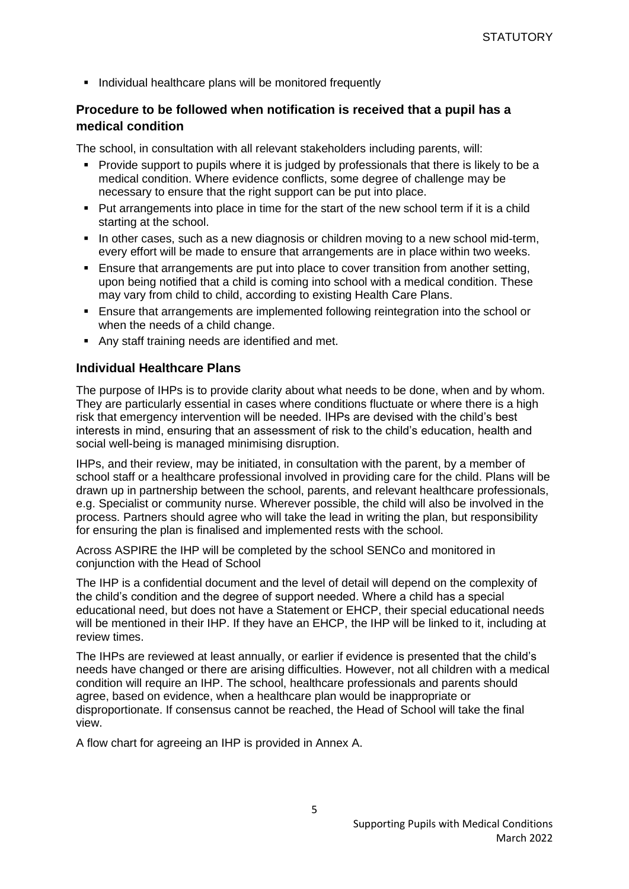■ Individual healthcare plans will be monitored frequently

### <span id="page-4-0"></span>**Procedure to be followed when notification is received that a pupil has a medical condition**

The school, in consultation with all relevant stakeholders including parents, will:

- Provide support to pupils where it is judged by professionals that there is likely to be a medical condition. Where evidence conflicts, some degree of challenge may be necessary to ensure that the right support can be put into place.
- Put arrangements into place in time for the start of the new school term if it is a child starting at the school.
- In other cases, such as a new diagnosis or children moving to a new school mid-term, every effort will be made to ensure that arrangements are in place within two weeks.
- **Ensure that arrangements are put into place to cover transition from another setting,** upon being notified that a child is coming into school with a medical condition. These may vary from child to child, according to existing Health Care Plans.
- **E** Ensure that arrangements are implemented following reintegration into the school or when the needs of a child change.
- Any staff training needs are identified and met.

#### <span id="page-4-1"></span>**Individual Healthcare Plans**

The purpose of IHPs is to provide clarity about what needs to be done, when and by whom. They are particularly essential in cases where conditions fluctuate or where there is a high risk that emergency intervention will be needed. IHPs are devised with the child's best interests in mind, ensuring that an assessment of risk to the child's education, health and social well-being is managed minimising disruption.

IHPs, and their review, may be initiated, in consultation with the parent, by a member of school staff or a healthcare professional involved in providing care for the child. Plans will be drawn up in partnership between the school, parents, and relevant healthcare professionals, e.g. Specialist or community nurse. Wherever possible, the child will also be involved in the process. Partners should agree who will take the lead in writing the plan, but responsibility for ensuring the plan is finalised and implemented rests with the school.

Across ASPIRE the IHP will be completed by the school SENCo and monitored in conjunction with the Head of School

The IHP is a confidential document and the level of detail will depend on the complexity of the child's condition and the degree of support needed. Where a child has a special educational need, but does not have a Statement or EHCP, their special educational needs will be mentioned in their IHP. If they have an EHCP, the IHP will be linked to it, including at review times.

The IHPs are reviewed at least annually, or earlier if evidence is presented that the child's needs have changed or there are arising difficulties. However, not all children with a medical condition will require an IHP. The school, healthcare professionals and parents should agree, based on evidence, when a healthcare plan would be inappropriate or disproportionate. If consensus cannot be reached, the Head of School will take the final view.

A flow chart for agreeing an IHP is provided in Annex A.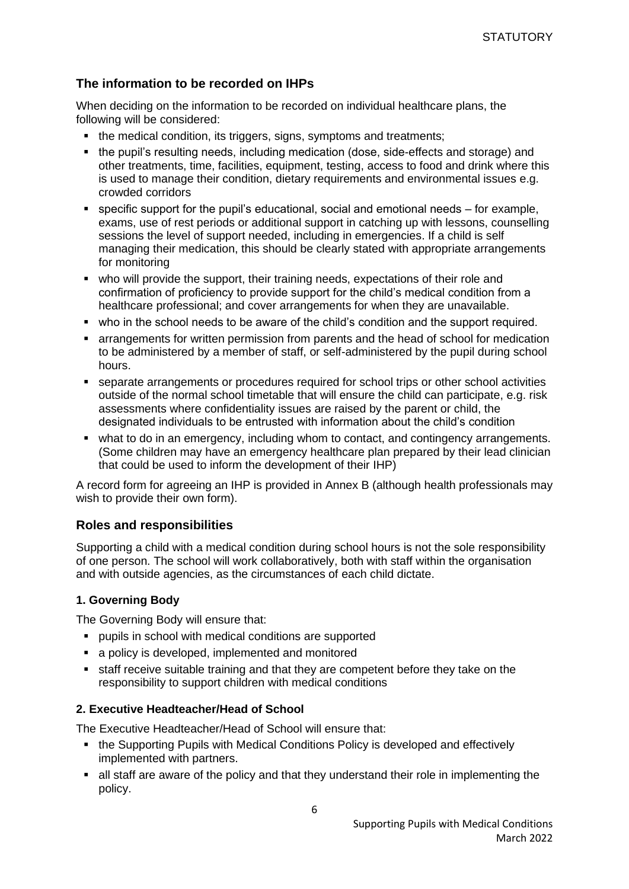### <span id="page-5-0"></span>**The information to be recorded on IHPs**

When deciding on the information to be recorded on individual healthcare plans, the following will be considered:

- the medical condition, its triggers, signs, symptoms and treatments;
- the pupil's resulting needs, including medication (dose, side-effects and storage) and other treatments, time, facilities, equipment, testing, access to food and drink where this is used to manage their condition, dietary requirements and environmental issues e.g. crowded corridors
- $\blacksquare$  specific support for the pupil's educational, social and emotional needs  $-$  for example, exams, use of rest periods or additional support in catching up with lessons, counselling sessions the level of support needed, including in emergencies. If a child is self managing their medication, this should be clearly stated with appropriate arrangements for monitoring
- who will provide the support, their training needs, expectations of their role and confirmation of proficiency to provide support for the child's medical condition from a healthcare professional; and cover arrangements for when they are unavailable.
- who in the school needs to be aware of the child's condition and the support required.
- **EX arrangements for written permission from parents and the head of school for medication** to be administered by a member of staff, or self-administered by the pupil during school hours.
- separate arrangements or procedures required for school trips or other school activities outside of the normal school timetable that will ensure the child can participate, e.g. risk assessments where confidentiality issues are raised by the parent or child, the designated individuals to be entrusted with information about the child's condition
- **•** what to do in an emergency, including whom to contact, and contingency arrangements. (Some children may have an emergency healthcare plan prepared by their lead clinician that could be used to inform the development of their IHP)

A record form for agreeing an IHP is provided in Annex B (although health professionals may wish to provide their own form).

#### <span id="page-5-1"></span>**Roles and responsibilities**

Supporting a child with a medical condition during school hours is not the sole responsibility of one person. The school will work collaboratively, both with staff within the organisation and with outside agencies, as the circumstances of each child dictate.

#### **1. Governing Body**

The Governing Body will ensure that:

- pupils in school with medical conditions are supported
- a policy is developed, implemented and monitored
- staff receive suitable training and that they are competent before they take on the responsibility to support children with medical conditions

#### **2. Executive Headteacher/Head of School**

The Executive Headteacher/Head of School will ensure that:

- the Supporting Pupils with Medical Conditions Policy is developed and effectively implemented with partners.
- all staff are aware of the policy and that they understand their role in implementing the policy.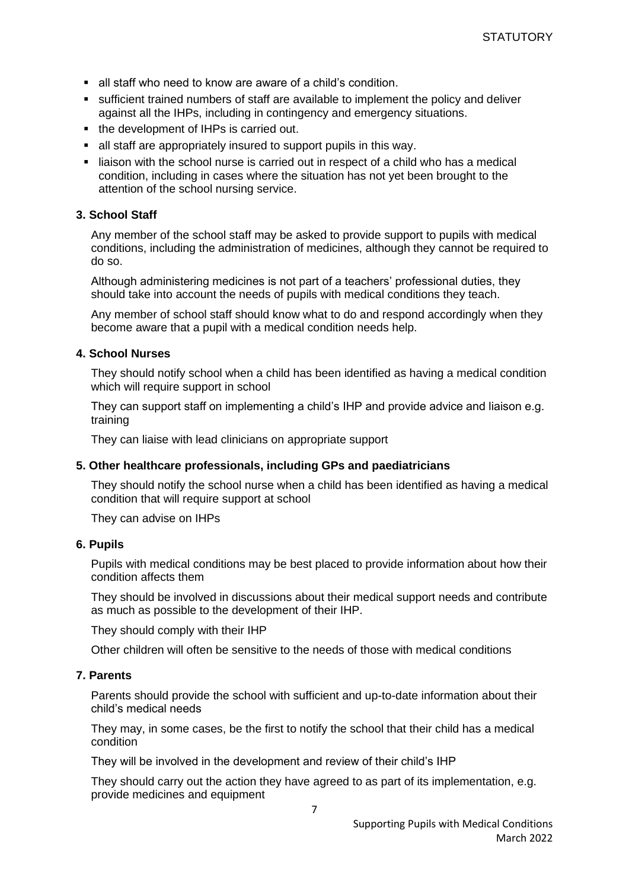- all staff who need to know are aware of a child's condition.
- **EX sufficient trained numbers of staff are available to implement the policy and deliver** against all the IHPs, including in contingency and emergency situations.
- the development of IHPs is carried out.
- all staff are appropriately insured to support pupils in this way.
- liaison with the school nurse is carried out in respect of a child who has a medical condition, including in cases where the situation has not yet been brought to the attention of the school nursing service.

#### **3. School Staff**

Any member of the school staff may be asked to provide support to pupils with medical conditions, including the administration of medicines, although they cannot be required to do so.

Although administering medicines is not part of a teachers' professional duties, they should take into account the needs of pupils with medical conditions they teach.

Any member of school staff should know what to do and respond accordingly when they become aware that a pupil with a medical condition needs help.

#### **4. School Nurses**

They should notify school when a child has been identified as having a medical condition which will require support in school

They can support staff on implementing a child's IHP and provide advice and liaison e.g. training

They can liaise with lead clinicians on appropriate support

#### **5. Other healthcare professionals, including GPs and paediatricians**

They should notify the school nurse when a child has been identified as having a medical condition that will require support at school

They can advise on IHPs

#### **6. Pupils**

Pupils with medical conditions may be best placed to provide information about how their condition affects them

They should be involved in discussions about their medical support needs and contribute as much as possible to the development of their IHP.

They should comply with their IHP

Other children will often be sensitive to the needs of those with medical conditions

#### **7. Parents**

Parents should provide the school with sufficient and up-to-date information about their child's medical needs

They may, in some cases, be the first to notify the school that their child has a medical condition

They will be involved in the development and review of their child's IHP

They should carry out the action they have agreed to as part of its implementation, e.g. provide medicines and equipment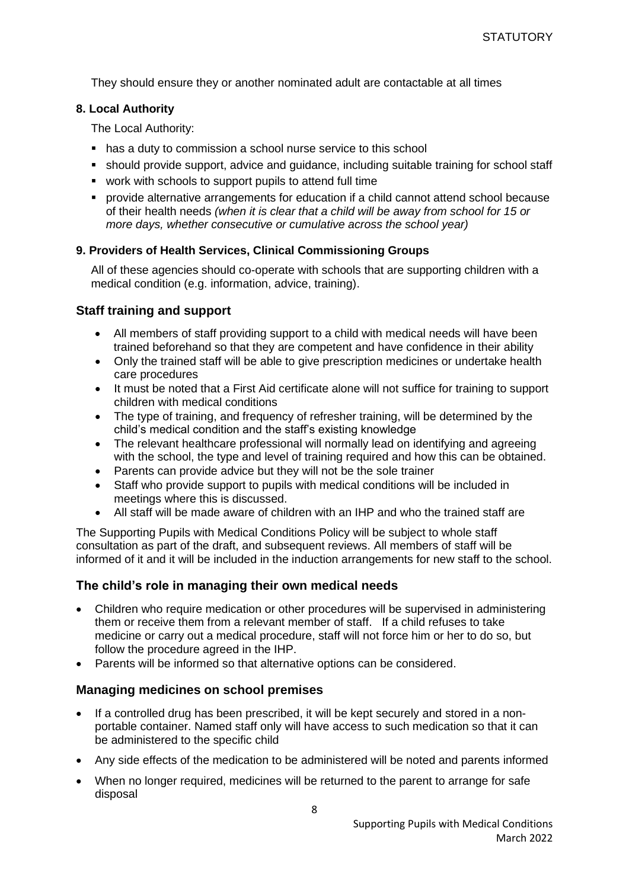They should ensure they or another nominated adult are contactable at all times

#### **8. Local Authority**

The Local Authority:

- has a duty to commission a school nurse service to this school
- should provide support, advice and guidance, including suitable training for school staff
- work with schools to support pupils to attend full time
- provide alternative arrangements for education if a child cannot attend school because of their health needs *(when it is clear that a child will be away from school for 15 or more days, whether consecutive or cumulative across the school year)*

#### **9. Providers of Health Services, Clinical Commissioning Groups**

All of these agencies should co-operate with schools that are supporting children with a medical condition (e.g. information, advice, training).

#### <span id="page-7-0"></span>**Staff training and support**

- All members of staff providing support to a child with medical needs will have been trained beforehand so that they are competent and have confidence in their ability
- Only the trained staff will be able to give prescription medicines or undertake health care procedures
- It must be noted that a First Aid certificate alone will not suffice for training to support children with medical conditions
- The type of training, and frequency of refresher training, will be determined by the child's medical condition and the staff's existing knowledge
- The relevant healthcare professional will normally lead on identifying and agreeing with the school, the type and level of training required and how this can be obtained.
- Parents can provide advice but they will not be the sole trainer
- Staff who provide support to pupils with medical conditions will be included in meetings where this is discussed.
- All staff will be made aware of children with an IHP and who the trained staff are

The Supporting Pupils with Medical Conditions Policy will be subject to whole staff consultation as part of the draft, and subsequent reviews. All members of staff will be informed of it and it will be included in the induction arrangements for new staff to the school.

#### <span id="page-7-1"></span>**The child's role in managing their own medical needs**

- Children who require medication or other procedures will be supervised in administering them or receive them from a relevant member of staff. If a child refuses to take medicine or carry out a medical procedure, staff will not force him or her to do so, but follow the procedure agreed in the IHP.
- Parents will be informed so that alternative options can be considered.

### <span id="page-7-2"></span>**Managing medicines on school premises**

- If a controlled drug has been prescribed, it will be kept securely and stored in a nonportable container. Named staff only will have access to such medication so that it can be administered to the specific child
- Any side effects of the medication to be administered will be noted and parents informed
- When no longer required, medicines will be returned to the parent to arrange for safe disposal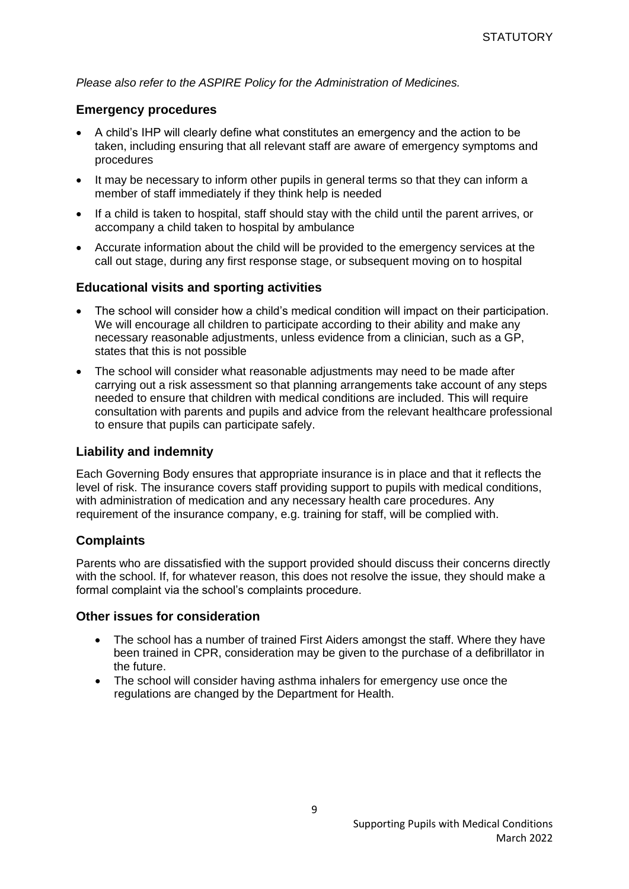<span id="page-8-0"></span>*Please also refer to the ASPIRE Policy for the Administration of Medicines.*

#### **Emergency procedures**

- A child's IHP will clearly define what constitutes an emergency and the action to be taken, including ensuring that all relevant staff are aware of emergency symptoms and procedures
- It may be necessary to inform other pupils in general terms so that they can inform a member of staff immediately if they think help is needed
- If a child is taken to hospital, staff should stay with the child until the parent arrives, or accompany a child taken to hospital by ambulance
- Accurate information about the child will be provided to the emergency services at the call out stage, during any first response stage, or subsequent moving on to hospital

### <span id="page-8-1"></span>**Educational visits and sporting activities**

- The school will consider how a child's medical condition will impact on their participation. We will encourage all children to participate according to their ability and make any necessary reasonable adjustments, unless evidence from a clinician, such as a GP, states that this is not possible
- The school will consider what reasonable adjustments may need to be made after carrying out a risk assessment so that planning arrangements take account of any steps needed to ensure that children with medical conditions are included. This will require consultation with parents and pupils and advice from the relevant healthcare professional to ensure that pupils can participate safely.

### <span id="page-8-2"></span>**Liability and indemnity**

Each Governing Body ensures that appropriate insurance is in place and that it reflects the level of risk. The insurance covers staff providing support to pupils with medical conditions, with administration of medication and any necessary health care procedures. Any requirement of the insurance company, e.g. training for staff, will be complied with.

### <span id="page-8-3"></span>**Complaints**

Parents who are dissatisfied with the support provided should discuss their concerns directly with the school. If, for whatever reason, this does not resolve the issue, they should make a formal complaint via the school's complaints procedure.

#### <span id="page-8-4"></span>**Other issues for consideration**

- The school has a number of trained First Aiders amongst the staff. Where they have been trained in CPR, consideration may be given to the purchase of a defibrillator in the future.
- The school will consider having asthma inhalers for emergency use once the regulations are changed by the Department for Health.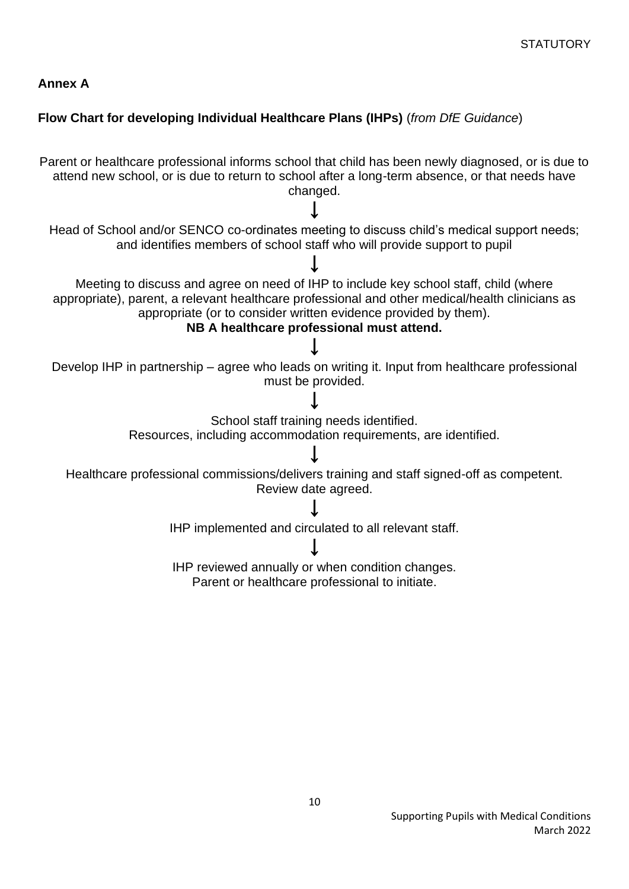### <span id="page-9-0"></span>**Annex A**

### **Flow Chart for developing Individual Healthcare Plans (IHPs)** (*from DfE Guidance*)

Parent or healthcare professional informs school that child has been newly diagnosed, or is due to attend new school, or is due to return to school after a long-term absence, or that needs have changed. ↓ Head of School and/or SENCO co-ordinates meeting to discuss child's medical support needs; and identifies members of school staff who will provide support to pupil ↓ Meeting to discuss and agree on need of IHP to include key school staff, child (where appropriate), parent, a relevant healthcare professional and other medical/health clinicians as appropriate (or to consider written evidence provided by them). **NB A healthcare professional must attend.** ↓ Develop IHP in partnership – agree who leads on writing it. Input from healthcare professional must be provided. ↓ School staff training needs identified. Resources, including accommodation requirements, are identified. ↓ Healthcare professional commissions/delivers training and staff signed-off as competent. Review date agreed. ↓ IHP implemented and circulated to all relevant staff. ↓ IHP reviewed annually or when condition changes. Parent or healthcare professional to initiate.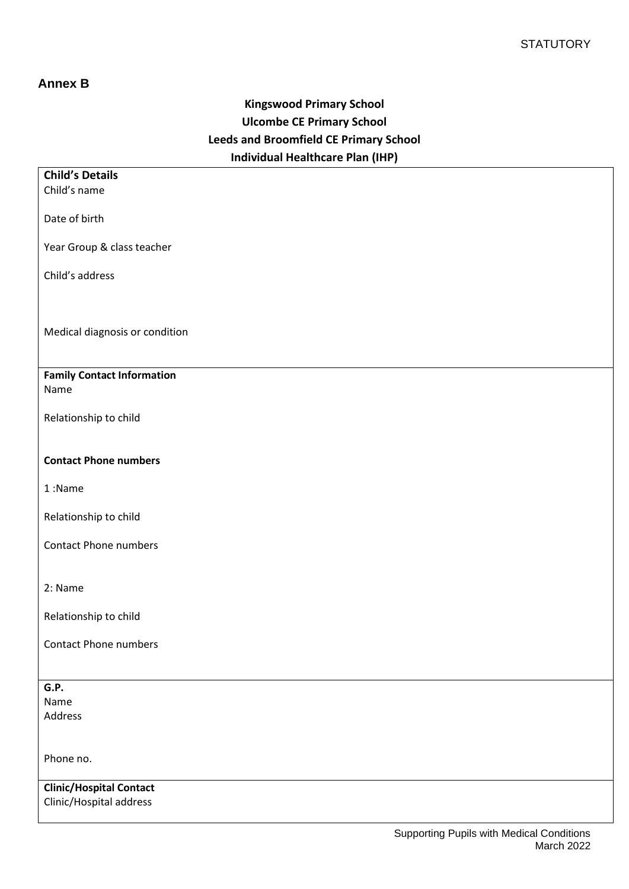### <span id="page-10-0"></span>**Annex B**

# **Kingswood Primary School Ulcombe CE Primary School Leeds and Broomfield CE Primary School Individual Healthcare Plan (IHP)**

| <b>Child's Details</b>                    |
|-------------------------------------------|
| Child's name                              |
|                                           |
| Date of birth                             |
|                                           |
| Year Group & class teacher                |
| Child's address                           |
|                                           |
|                                           |
|                                           |
| Medical diagnosis or condition            |
|                                           |
|                                           |
| <b>Family Contact Information</b><br>Name |
|                                           |
| Relationship to child                     |
|                                           |
|                                           |
| <b>Contact Phone numbers</b>              |
|                                           |
| 1:Name                                    |
| Relationship to child                     |
|                                           |
| <b>Contact Phone numbers</b>              |
|                                           |
|                                           |
| 2: Name                                   |
|                                           |
| Relationship to child                     |
| <b>Contact Phone numbers</b>              |
|                                           |
|                                           |
| G.P.                                      |
| Name                                      |
| Address                                   |
|                                           |
| Phone no.                                 |
|                                           |
| <b>Clinic/Hospital Contact</b>            |
| Clinic/Hospital address                   |
|                                           |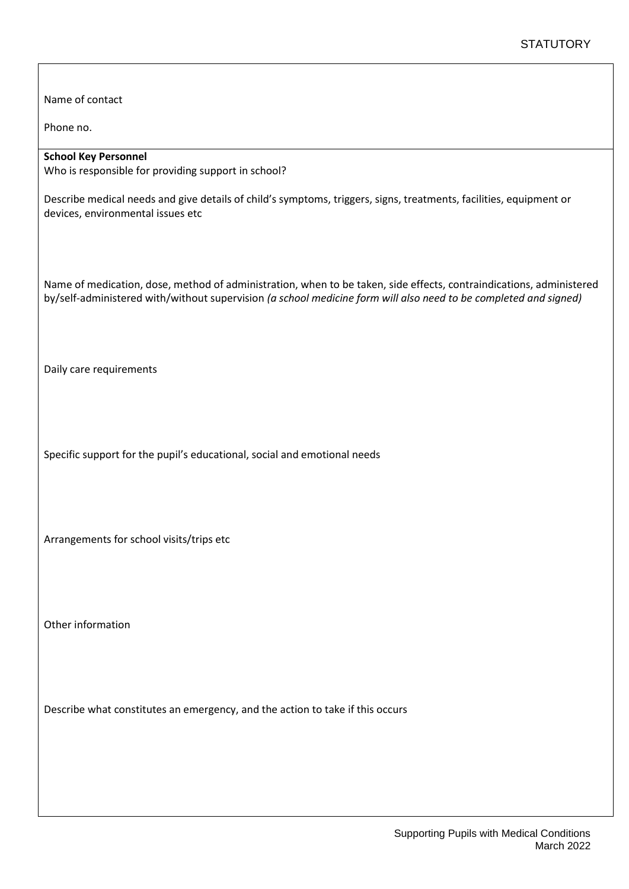Name of contact

Phone no.

#### **School Key Personnel**

Who is responsible for providing support in school?

Describe medical needs and give details of child's symptoms, triggers, signs, treatments, facilities, equipment or devices, environmental issues etc

Name of medication, dose, method of administration, when to be taken, side effects, contraindications, administered by/self-administered with/without supervision *(a school medicine form will also need to be completed and signed)*

Daily care requirements

Specific support for the pupil's educational, social and emotional needs

Arrangements for school visits/trips etc

Other information

Describe what constitutes an emergency, and the action to take if this occurs